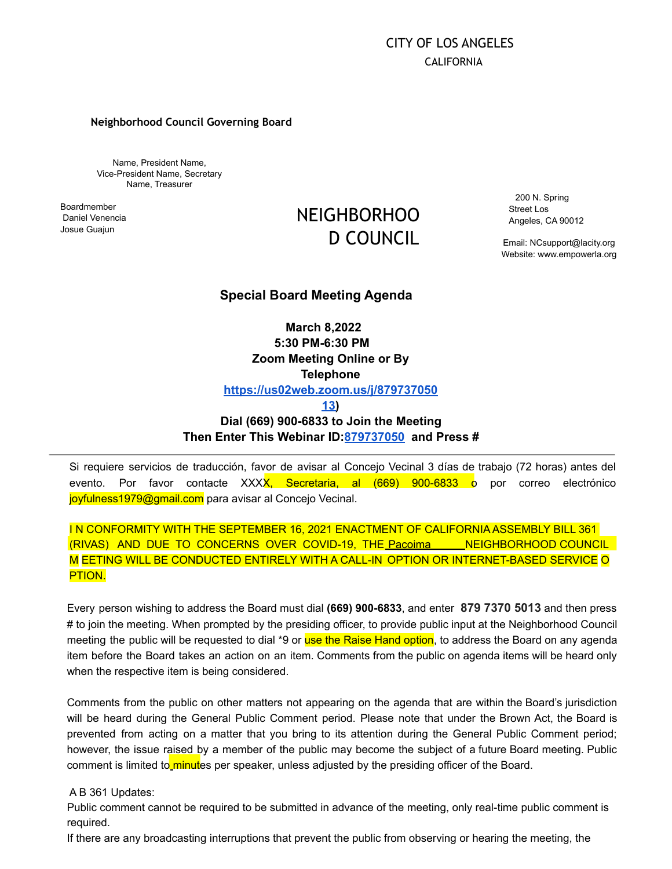# CITY OF LOS ANGELES CALIFORNIA

#### **Neighborhood Council Governing Board**

Name, President Name, Vice-President Name, Secretary Name, Treasurer

Boardmember Daniel Venencia Josue Guajun

# NEIGHBORHOO D COUNCIL

200 N. Spring Street Los Angeles, CA 90012

Email: [NCsupport@lacity.org](mailto:NCsupport@lacity.org) Website: [www.empowerla.org](http://www.empowerla.org/)

## **Special Board Meeting Agenda**

**March 8,2022 5:30 PM-6:30 PM Zoom Meeting Online or By Telephone [https://us02web.zoom.us/j/879737050](https://us02web.zoom.us/j/87973705013)**

**[13\)](https://us02web.zoom.us/j/87973705013)**

# **Dial (669) 900-6833 to Join the Meeting Then Enter This Webinar ID:[879737050](https://us02web.zoom.us/j/87973705013) and Press #**

Si requiere servicios de traducción, favor de avisar al Concejo Vecinal 3 días de trabajo (72 horas) antes del evento. Por favor contacte XXXX, Secretaria, al (669) 900-6833 o por correo electrónico joyfulness1979@gmail.com para avisar al Concejo Vecinal.

# IN CONFORMITY WITH THE SEPTEMBER 16, 2021 ENACTMENT OF CALIFORNIA ASSEMBLY BILL 361 (RIVAS) AND DUE TO CONCERNS OVER COVID-19, THE Pacoima MEIGHBORHOOD COUNCIL M EETING WILL BE CONDUCTED ENTIRELY WITH A CALL-IN OPTION OR INTERNET-BASED SERVICE O PTION.

Every person wishing to address the Board must dial **(669) 900-6833**, and enter **879 7370 5013** and then press # to join the meeting. When prompted by the presiding officer, to provide public input at the Neighborhood Council meeting the public will be requested to dial \*9 or use the Raise Hand option, to address the Board on any agenda item before the Board takes an action on an item. Comments from the public on agenda items will be heard only when the respective item is being considered.

Comments from the public on other matters not appearing on the agenda that are within the Board's jurisdiction will be heard during the General Public Comment period. Please note that under the Brown Act, the Board is prevented from acting on a matter that you bring to its attention during the General Public Comment period; however, the issue raised by a member of the public may become the subject of a future Board meeting. Public comment is limited to minutes per speaker, unless adjusted by the presiding officer of the Board.

#### A B 361 Updates:

Public comment cannot be required to be submitted in advance of the meeting, only real-time public comment is required.

If there are any broadcasting interruptions that prevent the public from observing or hearing the meeting, the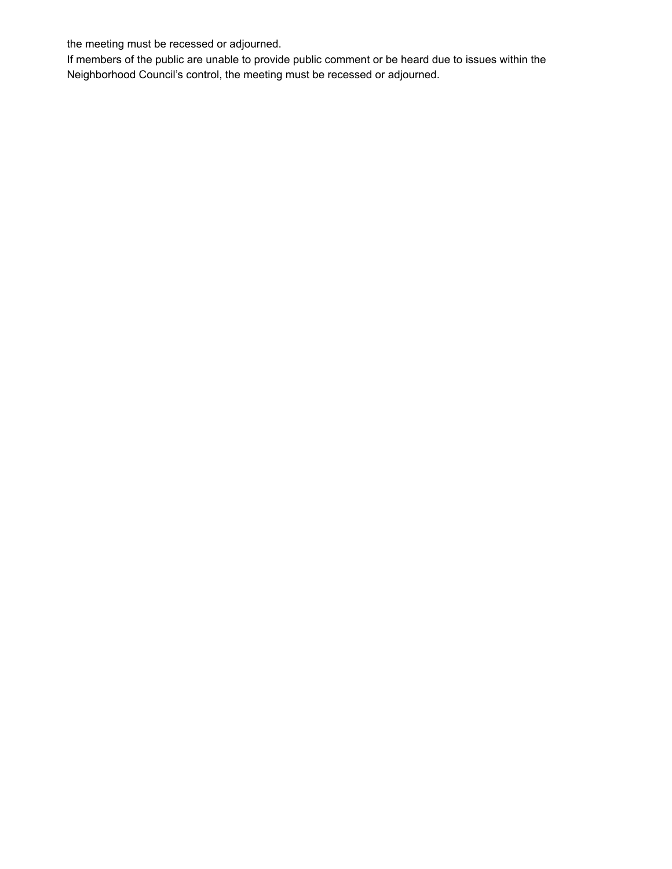the meeting must be recessed or adjourned.

If members of the public are unable to provide public comment or be heard due to issues within the Neighborhood Council's control, the meeting must be recessed or adjourned.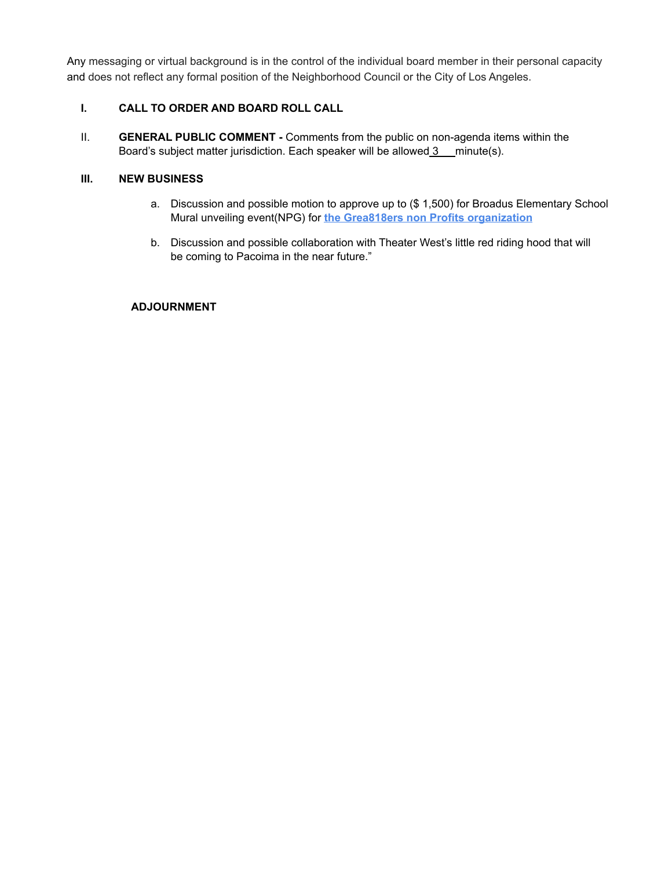Any messaging or virtual background is in the control of the individual board member in their personal capacity and does not reflect any formal position of the Neighborhood Council or the City of Los Angeles.

# **I. CALL TO ORDER AND BOARD ROLL CALL**

II. **GENERAL PUBLIC COMMENT -** Comments from the public on non-agenda items within the Board's subject matter jurisdiction. Each speaker will be allowed  $3$  minute(s).

### **III. NEW BUSINESS**

- a. Discussion and possible motion to approve up to (\$ 1,500) for Broadus Elementary School Mural unveiling event(NPG) for **the Grea818ers non Profits organization**
- b. Discussion and possible collaboration with Theater West's little red riding hood that will be coming to Pacoima in the near future."

## **ADJOURNMENT**